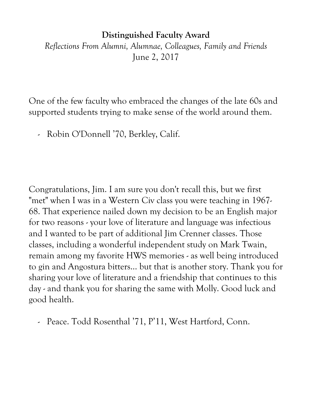## **Distinguished Faculty Award**

*Reflections From Alumni, Alumnae, Colleagues, Family and Friends* June 2, 2017

One of the few faculty who embraced the changes of the late 60s and supported students trying to make sense of the world around them.

- Robin O'Donnell '70, Berkley, Calif.

Congratulations, Jim. I am sure you don't recall this, but we first "met" when I was in a Western Civ class you were teaching in 1967- 68. That experience nailed down my decision to be an English major for two reasons - your love of literature and language was infectious and I wanted to be part of additional Jim Crenner classes. Those classes, including a wonderful independent study on Mark Twain, remain among my favorite HWS memories - as well being introduced to gin and Angostura bitters... but that is another story. Thank you for sharing your love of literature and a friendship that continues to this day - and thank you for sharing the same with Molly. Good luck and good health.

- Peace. Todd Rosenthal '71, P'11, West Hartford, Conn.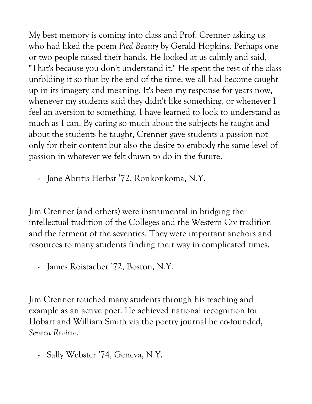My best memory is coming into class and Prof. Crenner asking us who had liked the poem *Pied Beauty* by Gerald Hopkins. Perhaps one or two people raised their hands. He looked at us calmly and said, "That's because you don't understand it." He spent the rest of the class unfolding it so that by the end of the time, we all had become caught up in its imagery and meaning. It's been my response for years now, whenever my students said they didn't like something, or whenever I feel an aversion to something. I have learned to look to understand as much as I can. By caring so much about the subjects he taught and about the students he taught, Crenner gave students a passion not only for their content but also the desire to embody the same level of passion in whatever we felt drawn to do in the future.

- Jane Abritis Herbst '72, Ronkonkoma, N.Y.

Jim Crenner (and others) were instrumental in bridging the intellectual tradition of the Colleges and the Western Civ tradition and the ferment of the seventies. They were important anchors and resources to many students finding their way in complicated times.

- James Roistacher '72, Boston, N.Y.

Jim Crenner touched many students through his teaching and example as an active poet. He achieved national recognition for Hobart and William Smith via the poetry journal he co-founded, *Seneca Review*.

- Sally Webster '74, Geneva, N.Y.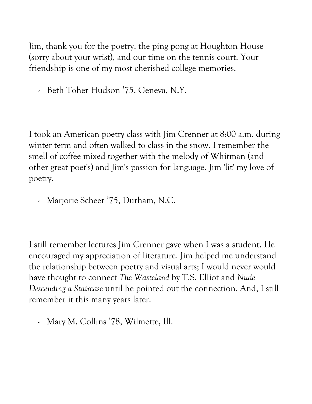Jim, thank you for the poetry, the ping pong at Houghton House (sorry about your wrist), and our time on the tennis court. Your friendship is one of my most cherished college memories.

- Beth Toher Hudson '75, Geneva, N.Y.

I took an American poetry class with Jim Crenner at 8:00 a.m. during winter term and often walked to class in the snow. I remember the smell of coffee mixed together with the melody of Whitman (and other great poet's) and Jim's passion for language. Jim 'lit' my love of poetry.

- Marjorie Scheer '75, Durham, N.C.

I still remember lectures Jim Crenner gave when I was a student. He encouraged my appreciation of literature. Jim helped me understand the relationship between poetry and visual arts; I would never would have thought to connect *The Wasteland* by T.S. Elliot and *Nude Descending a Staircase* until he pointed out the connection. And, I still remember it this many years later.

- Mary M. Collins '78, Wilmette, Ill.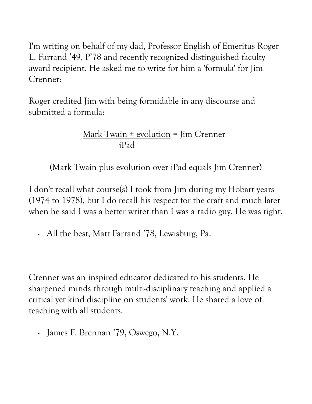I'm writing on behalf of my dad, Professor English of Emeritus Roger L. Farrand '49, P'78 and recently recognized distinguished faculty award recipient. He asked me to write for him a 'formula' for Jim Crenner:

Roger credited Jim with being formidable in any discourse and submitted a formula:

> Mark Twain + evolution = Jim Crenner iPad

(Mark Twain plus evolution over iPad equals Jim Crenner)

I don't recall what course(s) I took from Jim during my Hobart years (1974 to 1978), but I do recall his respect for the craft and much later when he said I was a better writer than I was a radio guy. He was right.

- All the best, Matt Farrand '78, Lewisburg, Pa.

Crenner was an inspired educator dedicated to his students. He sharpened minds through multi-disciplinary teaching and applied a critical yet kind discipline on students' work. He shared a love of teaching with all students.

- James F. Brennan '79, Oswego, N.Y.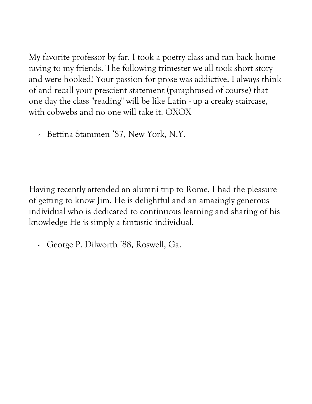My favorite professor by far. I took a poetry class and ran back home raving to my friends. The following trimester we all took short story and were hooked! Your passion for prose was addictive. I always think of and recall your prescient statement (paraphrased of course) that one day the class "reading" will be like Latin - up a creaky staircase, with cobwebs and no one will take it. OXOX

- Bettina Stammen '87, New York, N.Y.

Having recently attended an alumni trip to Rome, I had the pleasure of getting to know Jim. He is delightful and an amazingly generous individual who is dedicated to continuous learning and sharing of his knowledge He is simply a fantastic individual.

- George P. Dilworth '88, Roswell, Ga.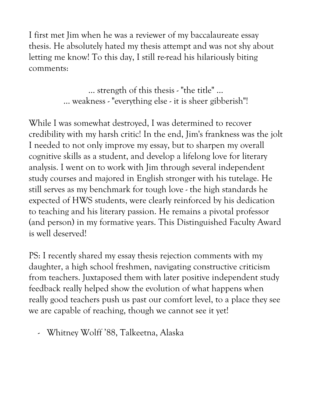I first met Jim when he was a reviewer of my baccalaureate essay thesis. He absolutely hated my thesis attempt and was not shy about letting me know! To this day, I still re-read his hilariously biting comments:

> … strength of this thesis - "the title" … ... weakness - "everything else - it is sheer gibberish"!

While I was somewhat destroyed, I was determined to recover credibility with my harsh critic! In the end, Jim's frankness was the jolt I needed to not only improve my essay, but to sharpen my overall cognitive skills as a student, and develop a lifelong love for literary analysis. I went on to work with Jim through several independent study courses and majored in English stronger with his tutelage. He still serves as my benchmark for tough love - the high standards he expected of HWS students, were clearly reinforced by his dedication to teaching and his literary passion. He remains a pivotal professor (and person) in my formative years. This Distinguished Faculty Award is well deserved!

PS: I recently shared my essay thesis rejection comments with my daughter, a high school freshmen, navigating constructive criticism from teachers. Juxtaposed them with later positive independent study feedback really helped show the evolution of what happens when really good teachers push us past our comfort level, to a place they see we are capable of reaching, though we cannot see it yet!

- Whitney Wolff '88, Talkeetna, Alaska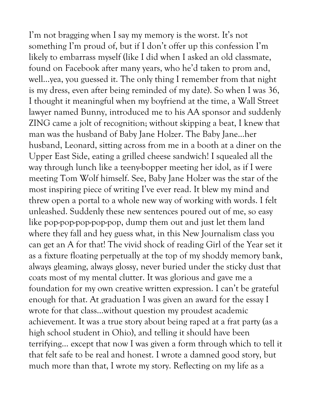I'm not bragging when I say my memory is the worst. It's not something I'm proud of, but if I don't offer up this confession I'm likely to embarrass myself (like I did when I asked an old classmate, found on Facebook after many years, who he'd taken to prom and, well…yea, you guessed it. The only thing I remember from that night is my dress, even after being reminded of my date). So when I was 36, I thought it meaningful when my boyfriend at the time, a Wall Street lawyer named Bunny, introduced me to his AA sponsor and suddenly ZING came a jolt of recognition; without skipping a beat, I knew that man was the husband of Baby Jane Holzer. The Baby Jane…her husband, Leonard, sitting across from me in a booth at a diner on the Upper East Side, eating a grilled cheese sandwich! I squealed all the way through lunch like a teeny-bopper meeting her idol, as if I were meeting Tom Wolf himself. See, Baby Jane Holzer was the star of the most inspiring piece of writing I've ever read. It blew my mind and threw open a portal to a whole new way of working with words. I felt unleashed. Suddenly these new sentences poured out of me, so easy like pop-pop-pop-pop-pop, dump them out and just let them land where they fall and hey guess what, in this New Journalism class you can get an A for that! The vivid shock of reading Girl of the Year set it as a fixture floating perpetually at the top of my shoddy memory bank, always gleaming, always glossy, never buried under the sticky dust that coats most of my mental clutter. It was glorious and gave me a foundation for my own creative written expression. I can't be grateful enough for that. At graduation I was given an award for the essay I wrote for that class…without question my proudest academic achievement. It was a true story about being raped at a frat party (as a high school student in Ohio), and telling it should have been terrifying… except that now I was given a form through which to tell it that felt safe to be real and honest. I wrote a damned good story, but much more than that, I wrote my story. Reflecting on my life as a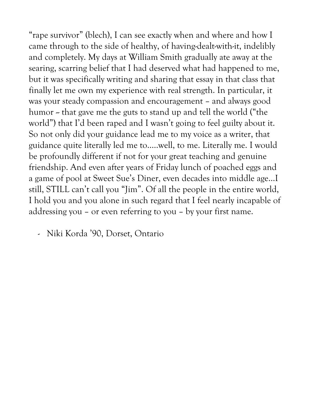"rape survivor" (blech), I can see exactly when and where and how I came through to the side of healthy, of having-dealt-with-it, indelibly and completely. My days at William Smith gradually ate away at the searing, scarring belief that I had deserved what had happened to me, but it was specifically writing and sharing that essay in that class that finally let me own my experience with real strength. In particular, it was your steady compassion and encouragement – and always good humor -- that gave me the guts to stand up and tell the world ("the world") that I'd been raped and I wasn't going to feel guilty about it. So not only did your guidance lead me to my voice as a writer, that guidance quite literally led me to…..well, to me. Literally me. I would be profoundly different if not for your great teaching and genuine friendship. And even after years of Friday lunch of poached eggs and a game of pool at Sweet Sue's Diner, even decades into middle age…I still, STILL can't call you "Jim". Of all the people in the entire world, I hold you and you alone in such regard that I feel nearly incapable of addressing you – or even referring to you – by your first name.

- Niki Korda '90, Dorset, Ontario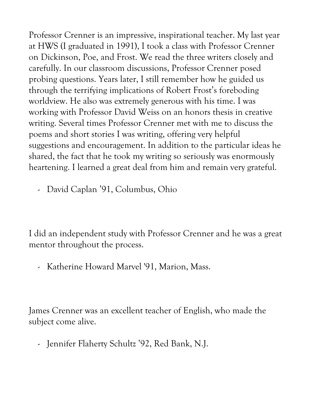Professor Crenner is an impressive, inspirational teacher. My last year at HWS (I graduated in 1991), I took a class with Professor Crenner on Dickinson, Poe, and Frost. We read the three writers closely and carefully. In our classroom discussions, Professor Crenner posed probing questions. Years later, I still remember how he guided us through the terrifying implications of Robert Frost's foreboding worldview. He also was extremely generous with his time. I was working with Professor David Weiss on an honors thesis in creative writing. Several times Professor Crenner met with me to discuss the poems and short stories I was writing, offering very helpful suggestions and encouragement. In addition to the particular ideas he shared, the fact that he took my writing so seriously was enormously heartening. I learned a great deal from him and remain very grateful.

- David Caplan '91, Columbus, Ohio

I did an independent study with Professor Crenner and he was a great mentor throughout the process.

- Katherine Howard Marvel '91, Marion, Mass.

James Crenner was an excellent teacher of English, who made the subject come alive.

- Jennifer Flaherty Schultz '92, Red Bank, N.J.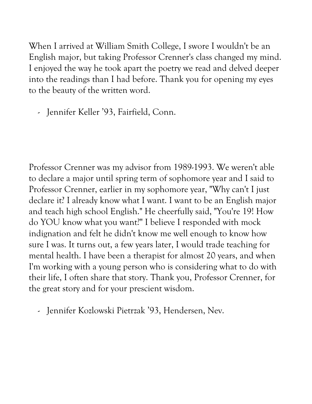When I arrived at William Smith College, I swore I wouldn't be an English major, but taking Professor Crenner's class changed my mind. I enjoyed the way he took apart the poetry we read and delved deeper into the readings than I had before. Thank you for opening my eyes to the beauty of the written word.

- Jennifer Keller '93, Fairfield, Conn.

Professor Crenner was my advisor from 1989-1993. We weren't able to declare a major until spring term of sophomore year and I said to Professor Crenner, earlier in my sophomore year, "Why can't I just declare it? I already know what I want. I want to be an English major and teach high school English." He cheerfully said, "You're 19! How do YOU know what you want?" I believe I responded with mock indignation and felt he didn't know me well enough to know how sure I was. It turns out, a few years later, I would trade teaching for mental health. I have been a therapist for almost 20 years, and when I'm working with a young person who is considering what to do with their life, I often share that story. Thank you, Professor Crenner, for the great story and for your prescient wisdom.

- Jennifer Kozlowski Pietrzak '93, Hendersen, Nev.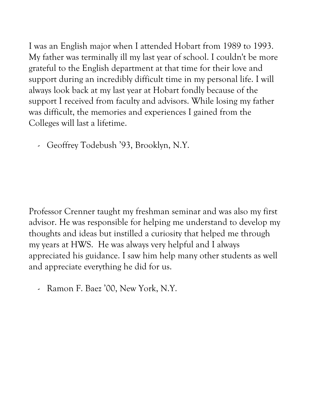I was an English major when I attended Hobart from 1989 to 1993. My father was terminally ill my last year of school. I couldn't be more grateful to the English department at that time for their love and support during an incredibly difficult time in my personal life. I will always look back at my last year at Hobart fondly because of the support I received from faculty and advisors. While losing my father was difficult, the memories and experiences I gained from the Colleges will last a lifetime.

- Geoffrey Todebush '93, Brooklyn, N.Y.

Professor Crenner taught my freshman seminar and was also my first advisor. He was responsible for helping me understand to develop my thoughts and ideas but instilled a curiosity that helped me through my years at HWS. He was always very helpful and I always appreciated his guidance. I saw him help many other students as well and appreciate everything he did for us.

- Ramon F. Baez '00, New York, N.Y.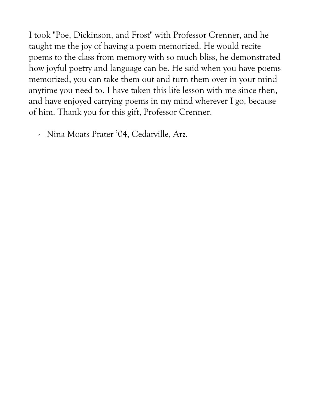I took "Poe, Dickinson, and Frost" with Professor Crenner, and he taught me the joy of having a poem memorized. He would recite poems to the class from memory with so much bliss, he demonstrated how joyful poetry and language can be. He said when you have poems memorized, you can take them out and turn them over in your mind anytime you need to. I have taken this life lesson with me since then, and have enjoyed carrying poems in my mind wherever I go, because of him. Thank you for this gift, Professor Crenner.

- Nina Moats Prater '04, Cedarville, Arz.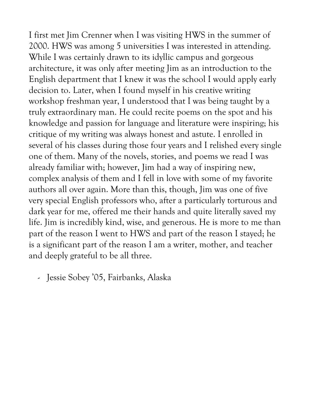I first met Jim Crenner when I was visiting HWS in the summer of 2000. HWS was among 5 universities I was interested in attending. While I was certainly drawn to its idyllic campus and gorgeous architecture, it was only after meeting Jim as an introduction to the English department that I knew it was the school I would apply early decision to. Later, when I found myself in his creative writing workshop freshman year, I understood that I was being taught by a truly extraordinary man. He could recite poems on the spot and his knowledge and passion for language and literature were inspiring; his critique of my writing was always honest and astute. I enrolled in several of his classes during those four years and I relished every single one of them. Many of the novels, stories, and poems we read I was already familiar with; however, Jim had a way of inspiring new, complex analysis of them and I fell in love with some of my favorite authors all over again. More than this, though, Jim was one of five very special English professors who, after a particularly torturous and dark year for me, offered me their hands and quite literally saved my life. Jim is incredibly kind, wise, and generous. He is more to me than part of the reason I went to HWS and part of the reason I stayed; he is a significant part of the reason I am a writer, mother, and teacher and deeply grateful to be all three.

- Jessie Sobey '05, Fairbanks, Alaska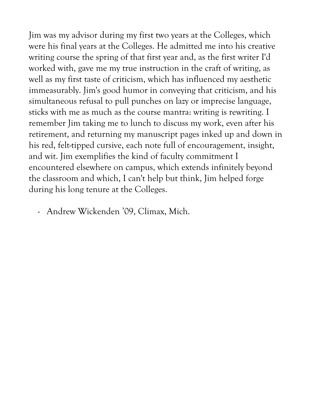Jim was my advisor during my first two years at the Colleges, which were his final years at the Colleges. He admitted me into his creative writing course the spring of that first year and, as the first writer I'd worked with, gave me my true instruction in the craft of writing, as well as my first taste of criticism, which has influenced my aesthetic immeasurably. Jim's good humor in conveying that criticism, and his simultaneous refusal to pull punches on lazy or imprecise language, sticks with me as much as the course mantra: writing is rewriting. I remember Jim taking me to lunch to discuss my work, even after his retirement, and returning my manuscript pages inked up and down in his red, felt-tipped cursive, each note full of encouragement, insight, and wit. Jim exemplifies the kind of faculty commitment I encountered elsewhere on campus, which extends infinitely beyond the classroom and which, I can't help but think, Jim helped forge during his long tenure at the Colleges.

- Andrew Wickenden '09, Climax, Mich.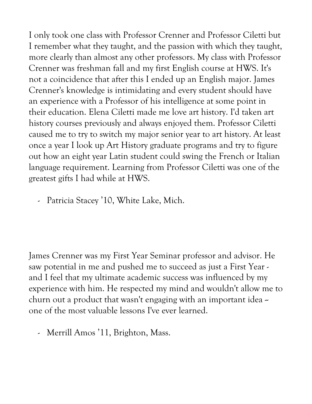I only took one class with Professor Crenner and Professor Ciletti but I remember what they taught, and the passion with which they taught, more clearly than almost any other professors. My class with Professor Crenner was freshman fall and my first English course at HWS. It's not a coincidence that after this I ended up an English major. James Crenner's knowledge is intimidating and every student should have an experience with a Professor of his intelligence at some point in their education. Elena Ciletti made me love art history. I'd taken art history courses previously and always enjoyed them. Professor Ciletti caused me to try to switch my major senior year to art history. At least once a year I look up Art History graduate programs and try to figure out how an eight year Latin student could swing the French or Italian language requirement. Learning from Professor Ciletti was one of the greatest gifts I had while at HWS.

- Patricia Stacey '10, White Lake, Mich.

James Crenner was my First Year Seminar professor and advisor. He saw potential in me and pushed me to succeed as just a First Year and I feel that my ultimate academic success was influenced by my experience with him. He respected my mind and wouldn't allow me to churn out a product that wasn't engaging with an important idea  $\sim$ one of the most valuable lessons I've ever learned.

- Merrill Amos '11, Brighton, Mass.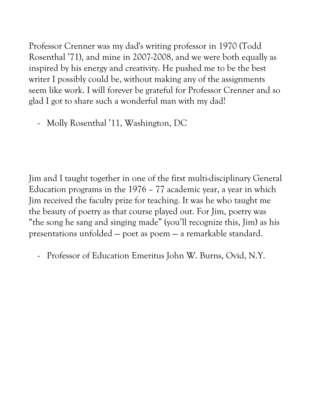Professor Crenner was my dad's writing professor in 1970 (Todd Rosenthal '71), and mine in 2007-2008, and we were both equally as inspired by his energy and creativity. He pushed me to be the best writer I possibly could be, without making any of the assignments seem like work. I will forever be grateful for Professor Crenner and so glad I got to share such a wonderful man with my dad!

- Molly Rosenthal '11, Washington, DC

Jim and I taught together in one of the first multi-disciplinary General Education programs in the 1976 – 77 academic year, a year in which Jim received the faculty prize for teaching. It was he who taught me the beauty of poetry as that course played out. For Jim, poetry was "the song he sang and singing made" (you'll recognize this, Jim) as his presentations unfolded — poet as poem — a remarkable standard.

- Professor of Education Emeritus John W. Burns, Ovid, N.Y.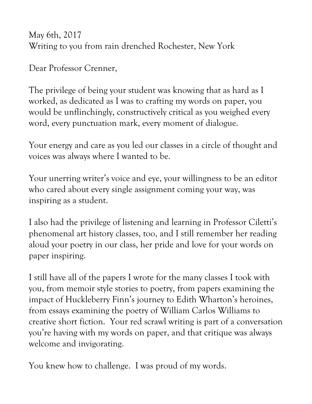May 6th, 2017 Writing to you from rain drenched Rochester, New York

Dear Professor Crenner,

The privilege of being your student was knowing that as hard as I worked, as dedicated as I was to crafting my words on paper, you would be unflinchingly, constructively critical as you weighed every word, every punctuation mark, every moment of dialogue.

Your energy and care as you led our classes in a circle of thought and voices was always where I wanted to be.

Your unerring writer's voice and eye, your willingness to be an editor who cared about every single assignment coming your way, was inspiring as a student.

I also had the privilege of listening and learning in Professor Ciletti's phenomenal art history classes, too, and I still remember her reading aloud your poetry in our class, her pride and love for your words on paper inspiring.

I still have all of the papers I wrote for the many classes I took with you, from memoir style stories to poetry, from papers examining the impact of Huckleberry Finn's journey to Edith Wharton's heroines, from essays examining the poetry of William Carlos Williams to creative short fiction. Your red scrawl writing is part of a conversation you're having with my words on paper, and that critique was always welcome and invigorating.

You knew how to challenge. I was proud of my words.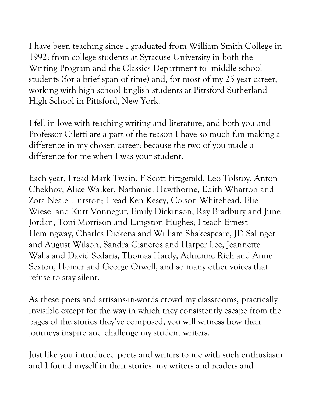I have been teaching since I graduated from William Smith College in 1992: from college students at Syracuse University in both the Writing Program and the Classics Department to middle school students (for a brief span of time) and, for most of my 25 year career, working with high school English students at Pittsford Sutherland High School in Pittsford, New York.

I fell in love with teaching writing and literature, and both you and Professor Ciletti are a part of the reason I have so much fun making a difference in my chosen career: because the two of you made a difference for me when I was your student.

Each year, I read Mark Twain, F Scott Fitzgerald, Leo Tolstoy, Anton Chekhov, Alice Walker, Nathaniel Hawthorne, Edith Wharton and Zora Neale Hurston; I read Ken Kesey, Colson Whitehead, Elie Wiesel and Kurt Vonnegut, Emily Dickinson, Ray Bradbury and June Jordan, Toni Morrison and Langston Hughes; I teach Ernest Hemingway, Charles Dickens and William Shakespeare, JD Salinger and August Wilson, Sandra Cisneros and Harper Lee, Jeannette Walls and David Sedaris, Thomas Hardy, Adrienne Rich and Anne Sexton, Homer and George Orwell, and so many other voices that refuse to stay silent.

As these poets and artisans-in-words crowd my classrooms, practically invisible except for the way in which they consistently escape from the pages of the stories they've composed, you will witness how their journeys inspire and challenge my student writers.

Just like you introduced poets and writers to me with such enthusiasm and I found myself in their stories, my writers and readers and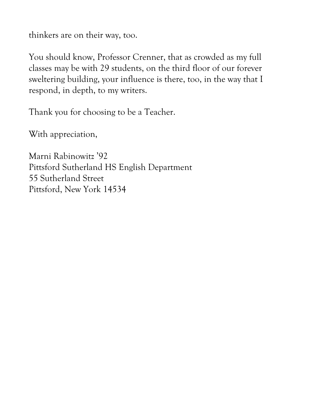thinkers are on their way, too.

You should know, Professor Crenner, that as crowded as my full classes may be with 29 students, on the third floor of our forever sweltering building, your influence is there, too, in the way that I respond, in depth, to my writers.

Thank you for choosing to be a Teacher.

With appreciation,

Marni Rabinowitz '92 Pittsford Sutherland HS English Department 55 Sutherland Street Pittsford, New York 14534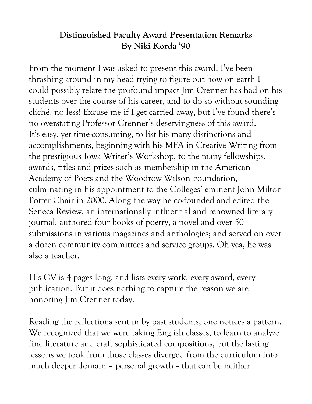## **Distinguished Faculty Award Presentation Remarks By Niki Korda '90**

From the moment I was asked to present this award, I've been thrashing around in my head trying to figure out how on earth I could possibly relate the profound impact Jim Crenner has had on his students over the course of his career, and to do so without sounding cliché, no less! Excuse me if I get carried away, but I've found there's no overstating Professor Crenner's deservingness of this award. It's easy, yet time-consuming, to list his many distinctions and accomplishments, beginning with his MFA in Creative Writing from the prestigious Iowa Writer's Workshop, to the many fellowships, awards, titles and prizes such as membership in the American Academy of Poets and the Woodrow Wilson Foundation, culminating in his appointment to the Colleges' eminent John Milton Potter Chair in 2000. Along the way he co-founded and edited the Seneca Review, an internationally influential and renowned literary journal; authored four books of poetry, a novel and over 50 submissions in various magazines and anthologies; and served on over a dozen community committees and service groups. Oh yea, he was also a teacher.

His CV is 4 pages long, and lists every work, every award, every publication. But it does nothing to capture the reason we are honoring Jim Crenner today.

Reading the reflections sent in by past students, one notices a pattern. We recognized that we were taking English classes, to learn to analyze fine literature and craft sophisticated compositions, but the lasting lessons we took from those classes diverged from the curriculum into much deeper domain  $-$  personal growth  $\sim$  that can be neither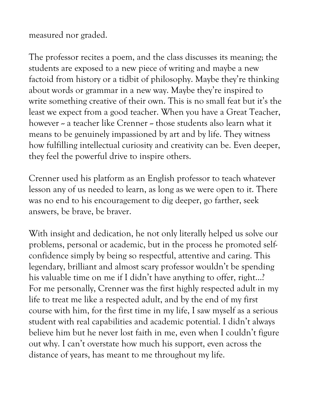measured nor graded.

The professor recites a poem, and the class discusses its meaning; the students are exposed to a new piece of writing and maybe a new factoid from history or a tidbit of philosophy. Maybe they're thinking about words or grammar in a new way. Maybe they're inspired to write something creative of their own. This is no small feat but it's the least we expect from a good teacher. When you have a Great Teacher, however -- a teacher like Crenner -- those students also learn what it means to be genuinely impassioned by art and by life. They witness how fulfilling intellectual curiosity and creativity can be. Even deeper, they feel the powerful drive to inspire others.

Crenner used his platform as an English professor to teach whatever lesson any of us needed to learn, as long as we were open to it. There was no end to his encouragement to dig deeper, go farther, seek answers, be brave, be braver.

With insight and dedication, he not only literally helped us solve our problems, personal or academic, but in the process he promoted selfconfidence simply by being so respectful, attentive and caring. This legendary, brilliant and almost scary professor wouldn't be spending his valuable time on me if I didn't have anything to offer, right…? For me personally, Crenner was the first highly respected adult in my life to treat me like a respected adult, and by the end of my first course with him, for the first time in my life, I saw myself as a serious student with real capabilities and academic potential. I didn't always believe him but he never lost faith in me, even when I couldn't figure out why. I can't overstate how much his support, even across the distance of years, has meant to me throughout my life.